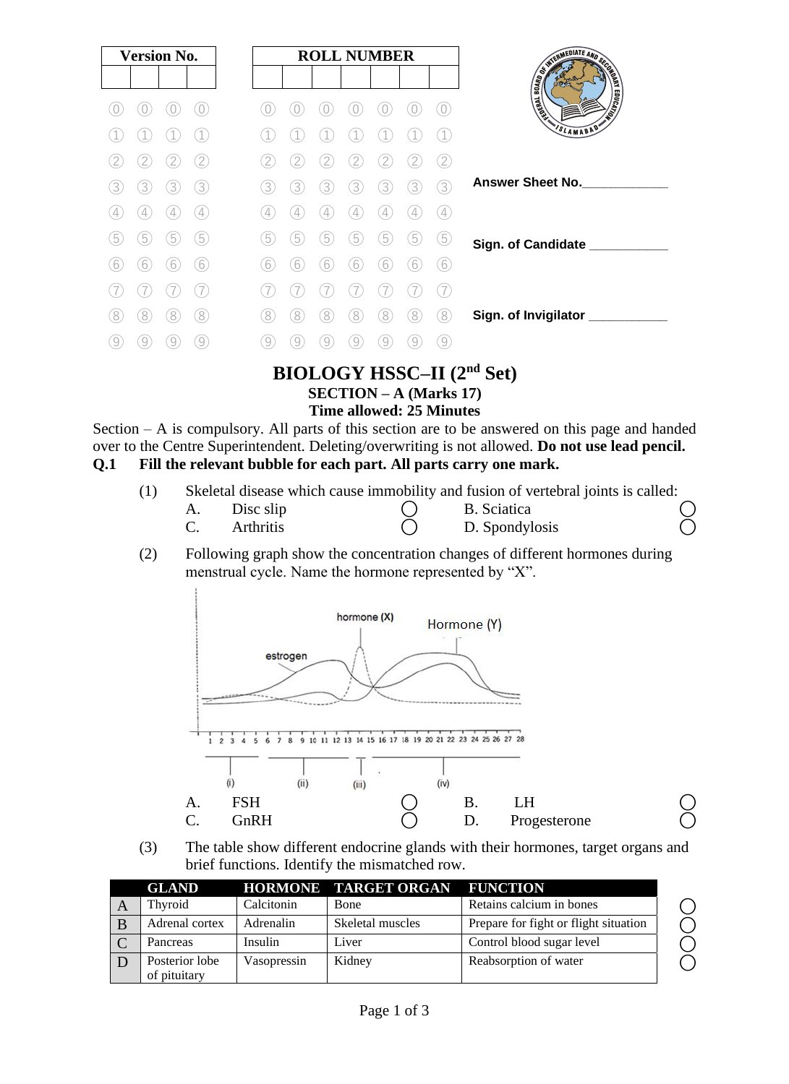|   | <b>Version No.</b> |   |                   |
|---|--------------------|---|-------------------|
|   |                    |   |                   |
|   |                    |   |                   |
|   |                    |   |                   |
|   |                    |   |                   |
| 3 | 3)                 | 3 | 3)                |
| 4 | $\overline{4}$     | 4 | $\left( 4\right)$ |
| 5 | $\left(5\right)$   | 5 | 5)                |
| 6 | 6                  | 6 | (6)               |
|   |                    |   |                   |
| 8 | 8                  | 8 | 8                 |
|   |                    |   | 9                 |

# **BIOLOGY HSSC–II (2nd Set)**

## **SECTION – A (Marks 17)**

**Time allowed: 25 Minutes**

Section – A is compulsory. All parts of this section are to be answered on this page and handed over to the Centre Superintendent. Deleting/overwriting is not allowed. **Do not use lead pencil. Q.1 Fill the relevant bubble for each part. All parts carry one mark.**

| (1) | Skeletal disease which cause immobility and fusion of vertebral joints is called: |  |  |  |
|-----|-----------------------------------------------------------------------------------|--|--|--|
|     |                                                                                   |  |  |  |

| А. | Disc slip        | B. Sciatica    |  |
|----|------------------|----------------|--|
|    | <b>Arthritis</b> | D. Spondylosis |  |

(2) Following graph show the concentration changes of different hormones during menstrual cycle. Name the hormone represented by "X".



(3) The table show different endocrine glands with their hormones, target organs and brief functions. Identify the mismatched row.

| <b>GLAND</b>                   |             | <b>HORMONE TARGET ORGAN</b> | <b>FUNCTION</b>                       |
|--------------------------------|-------------|-----------------------------|---------------------------------------|
| Thyroid                        | Calcitonin  | <b>Bone</b>                 | Retains calcium in bones              |
| Adrenal cortex                 | Adrenalin   | Skeletal muscles            | Prepare for fight or flight situation |
| Pancreas                       | Insulin     | Liver                       | Control blood sugar level             |
| Posterior lobe<br>of pituitary | Vasopressin | Kidney                      | Reabsorption of water                 |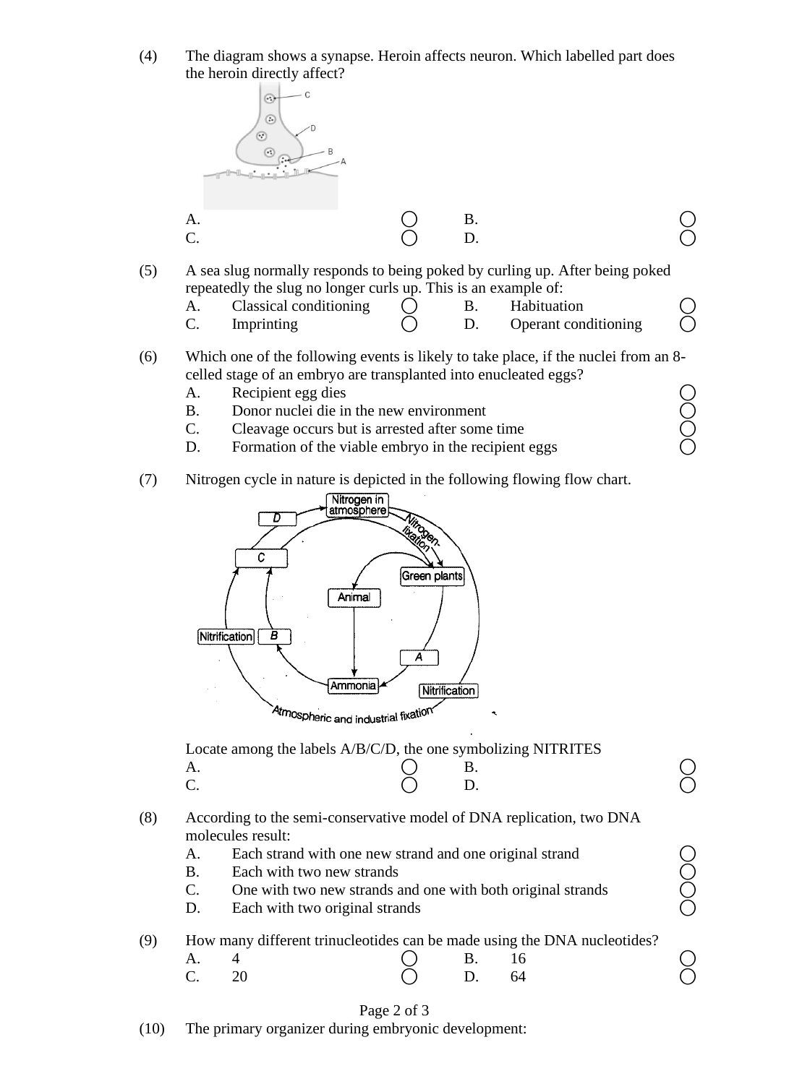(4) The diagram shows a synapse. Heroin affects neuron. Which labelled part does the heroin directly affect?



- (5) A sea slug normally responds to being poked by curling up. After being poked repeatedly the slug no longer curls up. This is an example of:
	- A. Classical conditioning  $\bigcap$  B. Habituation
		- C. Imprinting  $\bigcirc$  D. Operant conditioning
- (6) Which one of the following events is likely to take place, if the nuclei from an 8 celled stage of an embryo are transplanted into enucleated eggs?
	-
	- B. Donor nuclei die in the new environment
	- C. Cleavage occurs but is arrested after some time
	- A. Recipient egg dies<br>
	B. Donor nuclei die in the new environment<br>
	C. Cleavage occurs but is arrested after some time<br>
	D. Formation of the viable embryo in the recipient eggs D. Formation of the viable embryo in the recipient eggs
- (7) Nitrogen cycle in nature is depicted in the following flowing flow chart.



Locate among the labels A/B/C/D, the one symbolizing NITRITES  $A.$   $O$  B.  $O$ C.  $\bigcirc$  D.  $\bigcirc$ 

- (8) According to the semi-conservative model of DNA replication, two DNA molecules result:
	-
	- B. Each with two new strands
	- A. Each strand with one new strand and one original strand  $\bigcirc$ <br>
	B. Each with two new strands and one with both original strands  $\bigcirc$ <br>
	D. Each with two original strands  $\bigcirc$ C. One with two new strands and one with both original strands
	- D. Each with two original strands

### (9) How many different trinucleotides can be made using the DNA nucleotides?

| A. 4  | $\bigcirc$ B. 16 |  |  |
|-------|------------------|--|--|
| C. 20 | $O$ D. 64        |  |  |

#### Page 2 of 3

(10) The primary organizer during embryonic development: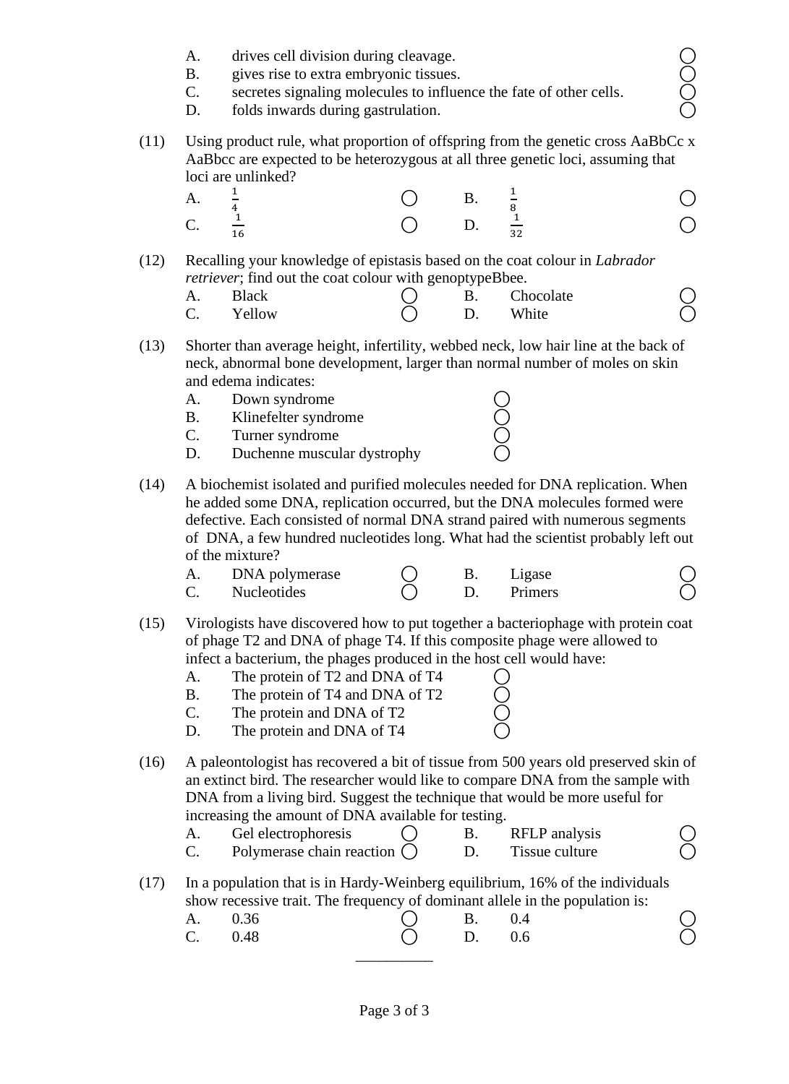- 
- B. gives rise to extra embryonic tissues.
- A. drives cell division during cleavage. <br>
B. gives rise to extra embryonic tissues. <br>
C. secretes signaling molecules to influence the fate of other cells. <br>  $\bigcirc$  folds inwards during gastrulation. C. secretes signaling molecules to influence the fate of other cells.
- D. folds inwards during gastrulation.
- (11) Using product rule, what proportion of offspring from the genetic cross AaBbCc x AaBbcc are expected to be heterozygous at all three genetic loci, assuming that loci are unlinked?

| A.             | $\frac{1}{2}$              |                              | <b>B.</b> $\frac{1}{2}$ |  |
|----------------|----------------------------|------------------------------|-------------------------|--|
| C <sub>1</sub> | $\frac{1}{\sqrt{2}}$<br>16 | $\bigcirc$ D. $\frac{1}{32}$ |                         |  |

(12) Recalling your knowledge of epistasis based on the coat colour in *Labrador retriever*; find out the coat colour with genoptypeBbee.

|            |              | $\check{ }$ | . |           |  |
|------------|--------------|-------------|---|-----------|--|
| Α.         | <b>Black</b> |             |   | Chocolate |  |
| $\sqrt{ }$ | Yellow       |             |   | White     |  |

- (13) Shorter than average height, infertility, webbed neck, low hair line at the back of neck, abnormal bone development, larger than normal number of moles on skin and edema indicates:
	-
	- A. Down syndrome (C)<br>
	B. Klinefelter syndrome (C)<br>
	C. Turner syndrome (C) B. Klinefelter syndrome
	- C. Turner syndrome
	- D. Duchenne muscular dystrophy
- (14) A biochemist isolated and purified molecules needed for DNA replication. When he added some DNA, replication occurred, but the DNA molecules formed were defective. Each consisted of normal DNA strand paired with numerous segments of DNA, a few hundred nucleotides long. What had the scientist probably left out of the mixture?

| DNA polymerase     |  | Ligase  |  |
|--------------------|--|---------|--|
| <b>Nucleotides</b> |  | Primers |  |

- (15) Virologists have discovered how to put together a bacteriophage with protein coat of phage T2 and DNA of phage T4. If this composite phage were allowed to infect a bacterium, the phages produced in the host cell would have:
	- A. The protein of T2 and DNA of T4
	- B. The protein of T4 and DNA of T2
	- C. The protein and DNA of T2
	- D. The protein and DNA of T4
- (16) A paleontologist has recovered a bit of tissue from 500 years old preserved skin of an extinct bird. The researcher would like to compare DNA from the sample with DNA from a living bird. Suggest the technique that would be more useful for increasing the amount of DNA available for testing.

| Gel electrophoresis          |  | RFLP analysis  |  |
|------------------------------|--|----------------|--|
| Polymerase chain reaction () |  | Tissue culture |  |

#### (17) In a population that is in Hardy-Weinberg equilibrium, 16% of the individuals show recessive trait. The frequency of dominant allele in the population is:

| A. 0.36 | $\bigcirc$ B. 0.4 |  |  |
|---------|-------------------|--|--|
| C. 0.48 | $\bigcap$ D. 0.6  |  |  |
|         |                   |  |  |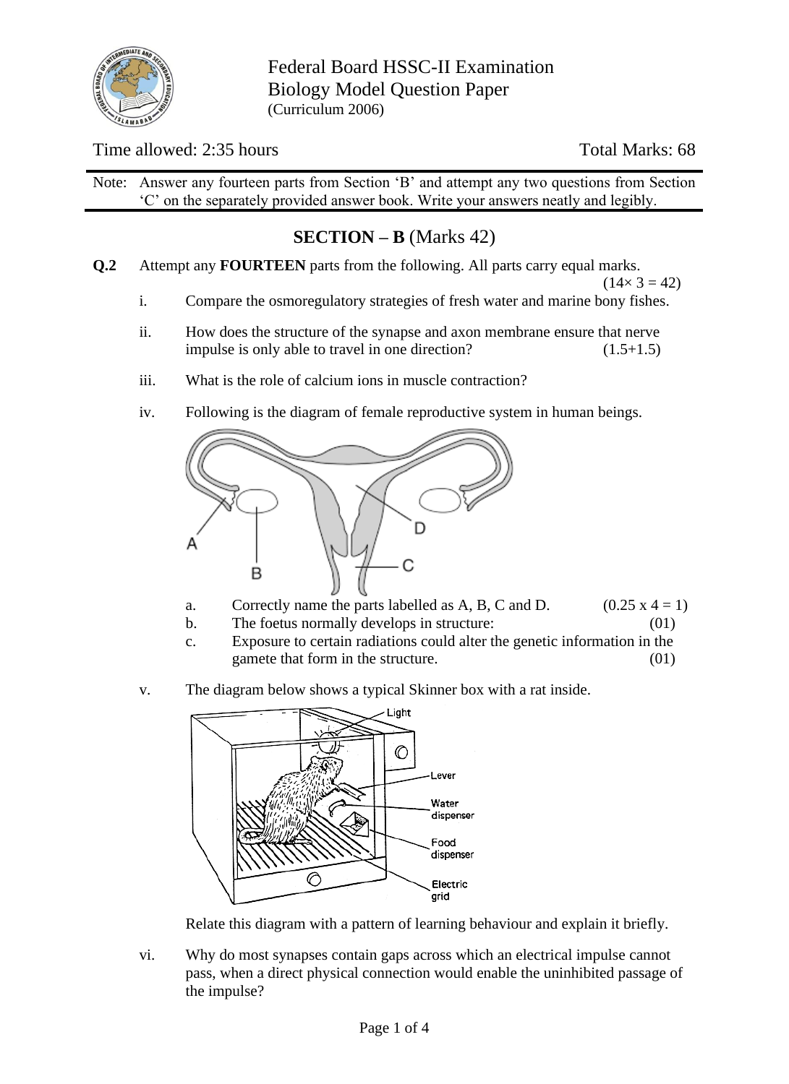

Federal Board HSSC-II Examination Biology Model Question Paper (Curriculum 2006)

### Time allowed: 2:35 hours Total Marks: 68

Note: Answer any fourteen parts from Section 'B' and attempt any two questions from Section 'C' on the separately provided answer book. Write your answers neatly and legibly.

## **SECTION – B** (Marks 42)

**Q.2** Attempt any **FOURTEEN** parts from the following. All parts carry equal marks.

 $(14 \times 3 = 42)$ 

- i. Compare the osmoregulatory strategies of fresh water and marine bony fishes.
- ii. How does the structure of the synapse and axon membrane ensure that nerve impulse is only able to travel in one direction? (1.5+1.5)
- iii. What is the role of calcium ions in muscle contraction?
- iv. Following is the diagram of female reproductive system in human beings.



- a. Correctly name the parts labelled as A, B, C and D.  $(0.25 \times 4 = 1)$
- b. The foetus normally develops in structure: (01)
- c. Exposure to certain radiations could alter the genetic information in the gamete that form in the structure. (01)
- v. The diagram below shows a typical Skinner box with a rat inside.



Relate this diagram with a pattern of learning behaviour and explain it briefly.

vi. Why do most synapses contain gaps across which an electrical impulse cannot pass, when a direct physical connection would enable the uninhibited passage of the impulse?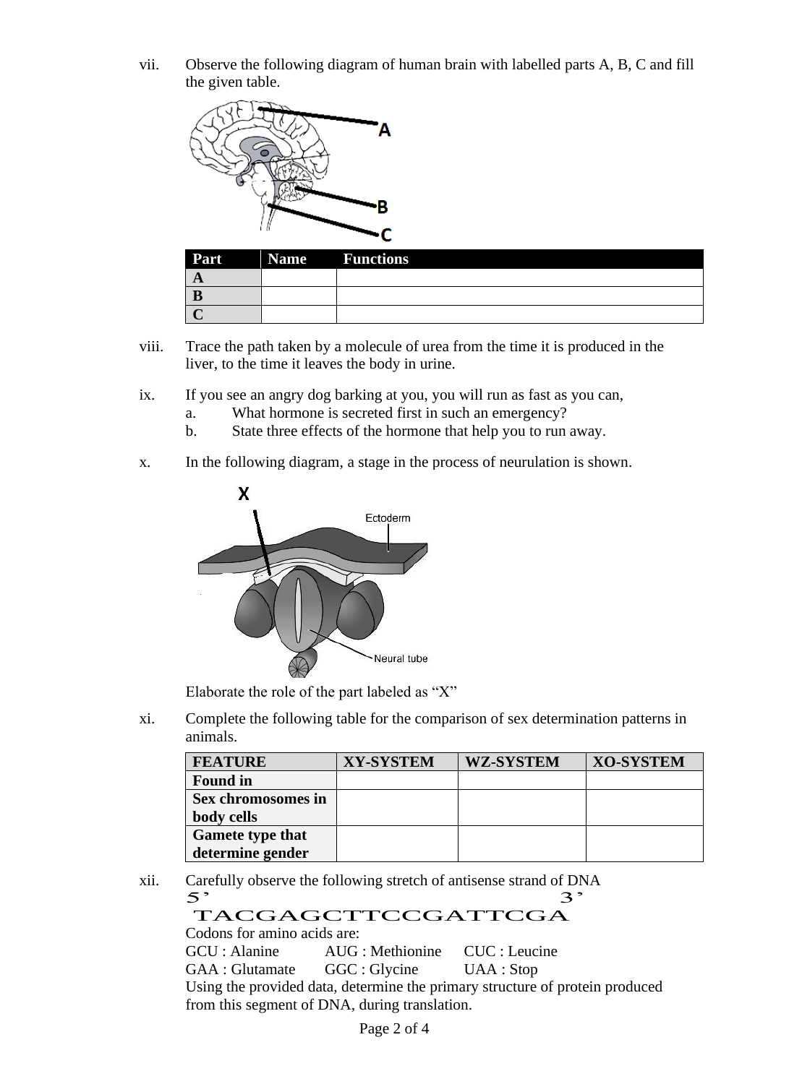vii. Observe the following diagram of human brain with labelled parts A, B, C and fill the given table.



| Part     | <b>Name</b> Functions |
|----------|-----------------------|
| $\Gamma$ |                       |
|          |                       |
|          |                       |

- viii. Trace the path taken by a molecule of urea from the time it is produced in the liver, to the time it leaves the body in urine.
- ix. If you see an angry dog barking at you, you will run as fast as you can,
	- a. What hormone is secreted first in such an emergency?
	- b. State three effects of the hormone that help you to run away.
- x. In the following diagram, a stage in the process of neurulation is shown.



Elaborate the role of the part labeled as "X"

xi. Complete the following table for the comparison of sex determination patterns in animals.

| <b>FEATURE</b>          | <b>XY-SYSTEM</b> | <b>WZ-SYSTEM</b> | <b>XO-SYSTEM</b> |
|-------------------------|------------------|------------------|------------------|
| <b>Found in</b>         |                  |                  |                  |
| Sex chromosomes in      |                  |                  |                  |
| body cells              |                  |                  |                  |
| <b>Gamete type that</b> |                  |                  |                  |
| determine gender        |                  |                  |                  |

xii. Carefully observe the following stretch of antisense strand of DNA<br> $\frac{5}{3}$ TACGAGCTTCCGATTCGA

Codons for amino acids are:

GCU : Alanine AUG : Methionine CUC : Leucine

GAA : Glutamate GGC : Glycine UAA : Stop

Using the provided data, determine the primary structure of protein produced from this segment of DNA, during translation.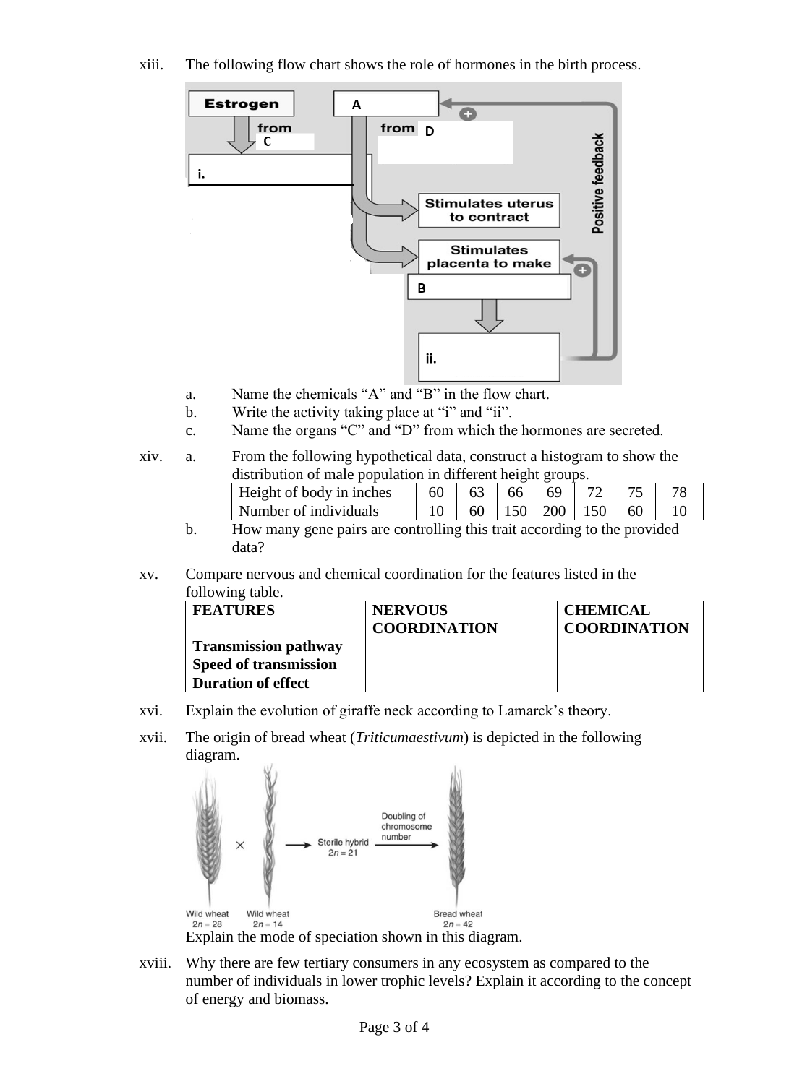xiii. The following flow chart shows the role of hormones in the birth process.



- a. Name the chemicals "A" and "B" in the flow chart.
- b. Write the activity taking place at "i" and "ii".
- c. Name the organs "C" and "D" from which the hormones are secreted.
- xiv. a. From the following hypothetical data, construct a histogram to show the distribution of male population in different height groups.

| Height of body in inches |    | 66 L | 69                |    |  |
|--------------------------|----|------|-------------------|----|--|
| Number of individuals    | 60 |      | $150$   200   150 | 60 |  |

- b. How many gene pairs are controlling this trait according to the provided data?
- xv. Compare nervous and chemical coordination for the features listed in the following table.

| <b>FEATURES</b>              | <b>NERVOUS</b>      | <b>CHEMICAL</b>     |
|------------------------------|---------------------|---------------------|
|                              | <b>COORDINATION</b> | <b>COORDINATION</b> |
| <b>Transmission pathway</b>  |                     |                     |
| <b>Speed of transmission</b> |                     |                     |
| <b>Duration of effect</b>    |                     |                     |

- xvi. Explain the evolution of giraffe neck according to Lamarck's theory.
- xvii. The origin of bread wheat (*Triticumaestivum*) is depicted in the following diagram.



xviii. Why there are few tertiary consumers in any ecosystem as compared to the number of individuals in lower trophic levels? Explain it according to the concept of energy and biomass.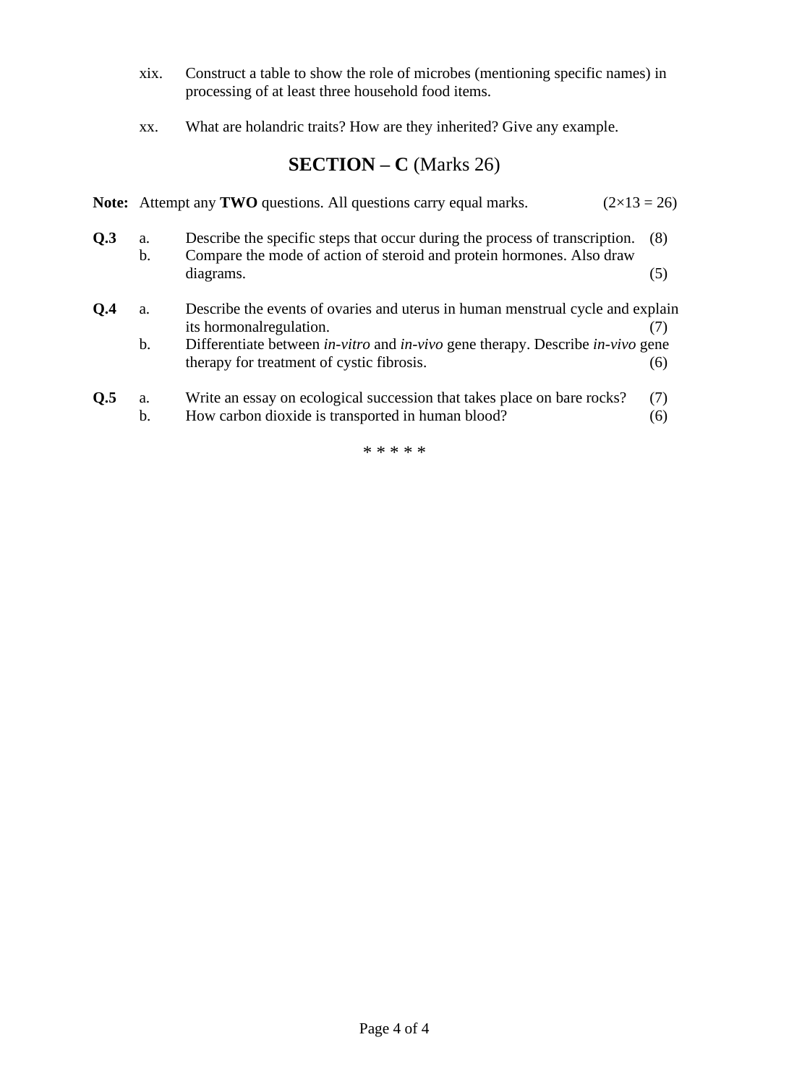- xix. Construct a table to show the role of microbes (mentioning specific names) in processing of at least three household food items.
- xx. What are holandric traits? How are they inherited? Give any example.

## **SECTION – C** (Marks 26)

|     |          | <b>Note:</b> Attempt any <b>TWO</b> questions. All questions carry equal marks.                                                                      | $(2\times 13 = 26)$ |
|-----|----------|------------------------------------------------------------------------------------------------------------------------------------------------------|---------------------|
| Q.3 | a.<br>b. | Describe the specific steps that occur during the process of transcription.<br>Compare the mode of action of steroid and protein hormones. Also draw | (8)                 |
|     |          | diagrams.                                                                                                                                            | (5)                 |
| 0.4 | a.       | Describe the events of ovaries and uterus in human menstrual cycle and explain                                                                       |                     |
|     | b.       | its hormonal regulation.<br>Differentiate between <i>in-vitro</i> and <i>in-vivo</i> gene therapy. Describe <i>in-vivo</i> gene                      | (7)                 |
|     |          | therapy for treatment of cystic fibrosis.                                                                                                            | (6)                 |
| Q.5 | a.       | Write an essay on ecological succession that takes place on bare rocks?                                                                              | (7)                 |
|     | b.       | How carbon dioxide is transported in human blood?                                                                                                    | (6)                 |

\* \* \* \* \*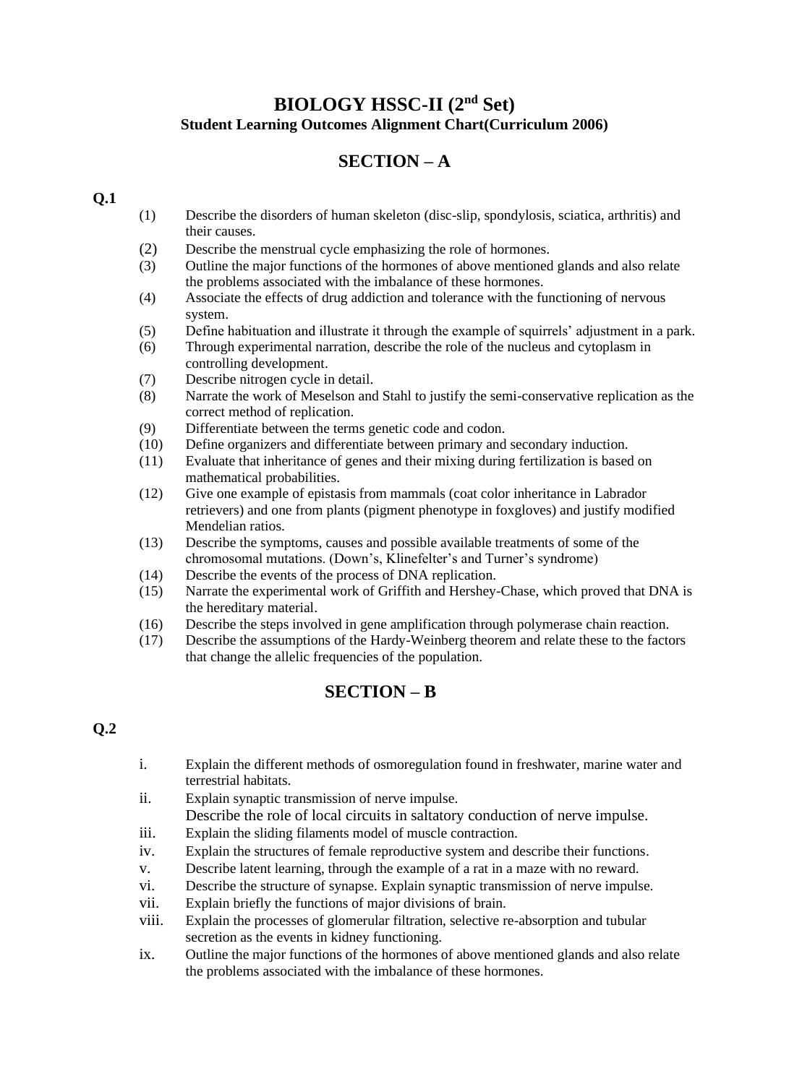### **BIOLOGY HSSC-II (2nd Set) Student Learning Outcomes Alignment Chart(Curriculum 2006)**

### **SECTION – A**

#### **Q.1**

- (1) Describe the disorders of human skeleton (disc-slip, spondylosis, sciatica, arthritis) and their causes.
- (2) Describe the menstrual cycle emphasizing the role of hormones.
- (3) Outline the major functions of the hormones of above mentioned glands and also relate the problems associated with the imbalance of these hormones.
- (4) Associate the effects of drug addiction and tolerance with the functioning of nervous system.
- (5) Define habituation and illustrate it through the example of squirrels' adjustment in a park.
- (6) Through experimental narration, describe the role of the nucleus and cytoplasm in controlling development.
- (7) Describe nitrogen cycle in detail.
- (8) Narrate the work of Meselson and Stahl to justify the semi-conservative replication as the correct method of replication.
- (9) Differentiate between the terms genetic code and codon.
- (10) Define organizers and differentiate between primary and secondary induction.
- (11) Evaluate that inheritance of genes and their mixing during fertilization is based on mathematical probabilities.
- (12) Give one example of epistasis from mammals (coat color inheritance in Labrador retrievers) and one from plants (pigment phenotype in foxgloves) and justify modified Mendelian ratios.
- (13) Describe the symptoms, causes and possible available treatments of some of the chromosomal mutations. (Down's, Klinefelter's and Turner's syndrome)
- (14) Describe the events of the process of DNA replication.
- (15) Narrate the experimental work of Griffith and Hershey-Chase, which proved that DNA is the hereditary material.
- (16) Describe the steps involved in gene amplification through polymerase chain reaction.
- (17) Describe the assumptions of the Hardy-Weinberg theorem and relate these to the factors that change the allelic frequencies of the population.

### **SECTION – B**

### **Q.2**

- i. Explain the different methods of osmoregulation found in freshwater, marine water and terrestrial habitats.
- ii. Explain synaptic transmission of nerve impulse. Describe the role of local circuits in saltatory conduction of nerve impulse.
- iii. Explain the sliding filaments model of muscle contraction.
- iv. Explain the structures of female reproductive system and describe their functions.
- v. Describe latent learning, through the example of a rat in a maze with no reward.
- vi. Describe the structure of synapse. Explain synaptic transmission of nerve impulse.
- vii. Explain briefly the functions of major divisions of brain.
- viii. Explain the processes of glomerular filtration, selective re-absorption and tubular secretion as the events in kidney functioning.
- ix. Outline the major functions of the hormones of above mentioned glands and also relate the problems associated with the imbalance of these hormones.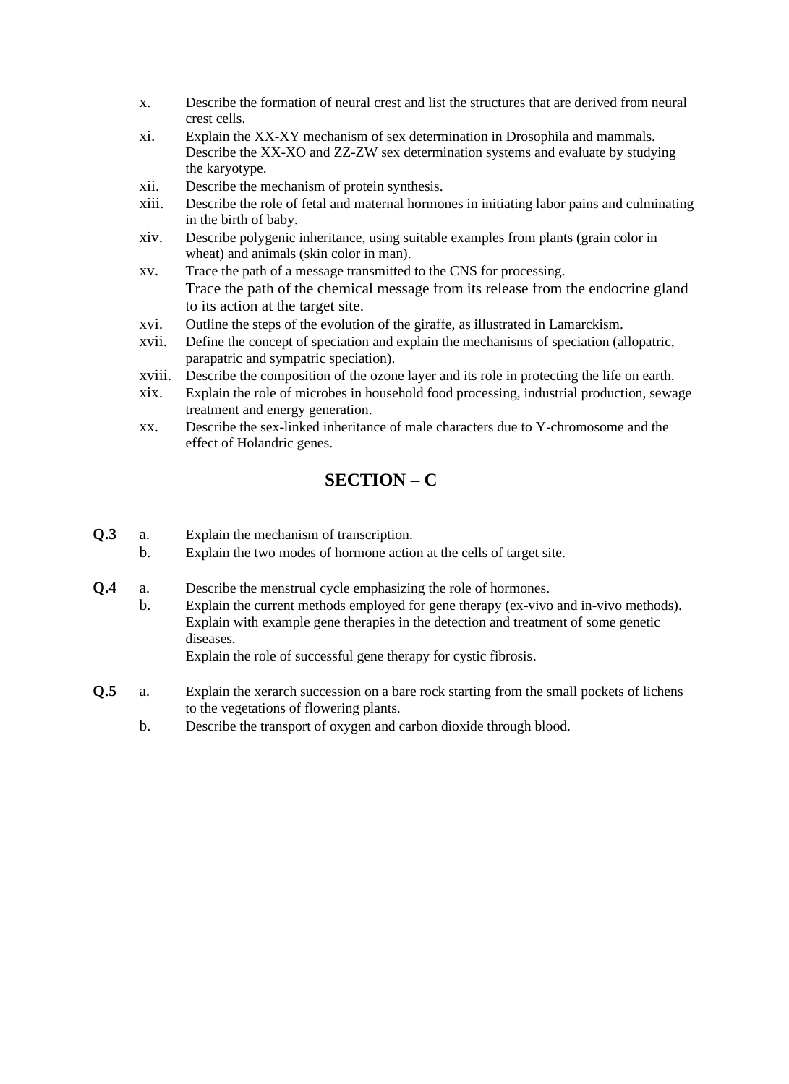- x. Describe the formation of neural crest and list the structures that are derived from neural crest cells.
- xi. Explain the XX-XY mechanism of sex determination in Drosophila and mammals. Describe the XX-XO and ZZ-ZW sex determination systems and evaluate by studying the karyotype.
- xii. Describe the mechanism of protein synthesis.
- xiii. Describe the role of fetal and maternal hormones in initiating labor pains and culminating in the birth of baby.
- xiv. Describe polygenic inheritance, using suitable examples from plants (grain color in wheat) and animals (skin color in man).
- xv. Trace the path of a message transmitted to the CNS for processing. Trace the path of the chemical message from its release from the endocrine gland to its action at the target site.
- xvi. Outline the steps of the evolution of the giraffe, as illustrated in Lamarckism.
- xvii. Define the concept of speciation and explain the mechanisms of speciation (allopatric, parapatric and sympatric speciation).
- xviii. Describe the composition of the ozone layer and its role in protecting the life on earth.
- xix. Explain the role of microbes in household food processing, industrial production, sewage treatment and energy generation.
- xx. Describe the sex-linked inheritance of male characters due to Y-chromosome and the effect of Holandric genes.

### **SECTION – C**

- **Q.3** a. Explain the mechanism of transcription.
	- b. Explain the two modes of hormone action at the cells of target site.
- **Q.4** a. Describe the menstrual cycle emphasizing the role of hormones.
	- b. Explain the current methods employed for gene therapy (ex-vivo and in-vivo methods). Explain with example gene therapies in the detection and treatment of some genetic diseases.

Explain the role of successful gene therapy for cystic fibrosis.

- **Q.5** a. Explain the xerarch succession on a bare rock starting from the small pockets of lichens to the vegetations of flowering plants.
	- b. Describe the transport of oxygen and carbon dioxide through blood.